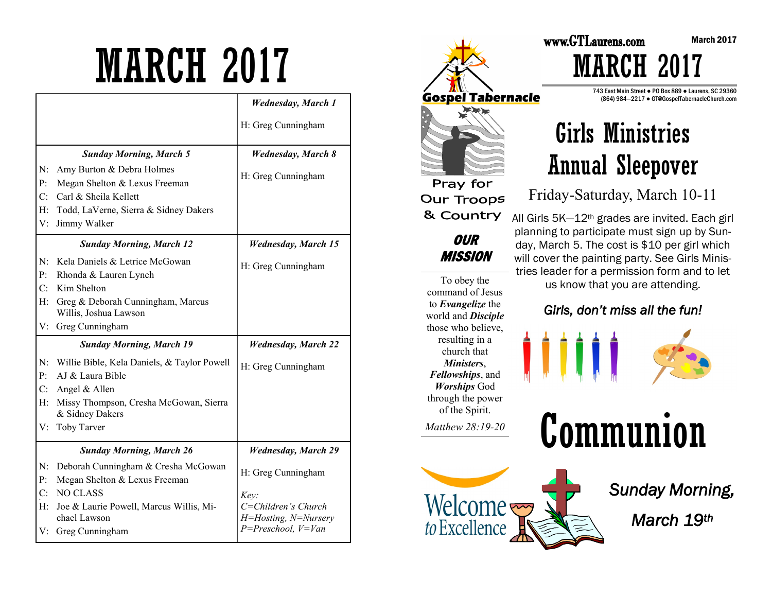# MARCH 2017

|                               |                                                                                                                                              | <b>Wednesday</b> , March 1                                                        |
|-------------------------------|----------------------------------------------------------------------------------------------------------------------------------------------|-----------------------------------------------------------------------------------|
|                               |                                                                                                                                              | H: Greg Cunningham                                                                |
|                               | <b>Sunday Morning, March 5</b>                                                                                                               | <b>Wednesday</b> , March 8                                                        |
| N:<br>P:<br>C:<br>$H$ :<br>V: | Amy Burton & Debra Holmes<br>Megan Shelton & Lexus Freeman<br>Carl & Sheila Kellett<br>Todd, LaVerne, Sierra & Sidney Dakers<br>Jimmy Walker | H: Greg Cunningham                                                                |
|                               | <b>Sunday Morning, March 12</b>                                                                                                              | <b>Wednesday, March 15</b>                                                        |
| N:<br>P:                      | Kela Daniels & Letrice McGowan<br>Rhonda & Lauren Lynch                                                                                      | H: Greg Cunningham                                                                |
| C:                            | Kim Shelton                                                                                                                                  |                                                                                   |
| H:                            | Greg & Deborah Cunningham, Marcus<br>Willis, Joshua Lawson                                                                                   |                                                                                   |
|                               |                                                                                                                                              |                                                                                   |
| V:                            | Greg Cunningham                                                                                                                              |                                                                                   |
|                               | <b>Sunday Morning, March 19</b>                                                                                                              | <b>Wednesday, March 22</b>                                                        |
| N:<br>P <sub>1</sub>          | Willie Bible, Kela Daniels, & Taylor Powell<br>AJ & Laura Bible                                                                              | H: Greg Cunningham                                                                |
| $C_{\cdot}$<br>$H$ :          | Angel & Allen<br>Missy Thompson, Cresha McGowan, Sierra<br>& Sidney Dakers                                                                   |                                                                                   |
| V:                            | Toby Tarver                                                                                                                                  |                                                                                   |
|                               | <b>Sunday Morning, March 26</b>                                                                                                              | <b>Wednesday, March 29</b>                                                        |
| N:<br>P <sub>1</sub>          | Deborah Cunningham & Cresha McGowan<br>Megan Shelton & Lexus Freeman                                                                         | H: Greg Cunningham                                                                |
| C:<br>H:<br>V:                | <b>NO CLASS</b><br>Joe & Laurie Powell, Marcus Willis, Mi-<br>chael Lawson<br>Greg Cunningham                                                | Key:<br>$C = Children's Church$<br>H=Hosting, N=Nursery<br>$P = Preschool, V=Van$ |



of the Spirit. *Matthew 28:19-20* 



www.GTLaurens.com MARCH 2017

> 743 East Main Street ● PO Box 889 ● Laurens, SC 29360 (864) 984—2217 ● GT@GospelTabernacleChurch.com



Friday-Saturday, March 10-11

All Girls 5K—12th grades are invited. Each girl planning to participate must sign up by Sunday, March 5. The cost is \$10 per girl which will cover the painting party. See Girls Ministries leader for a permission form and to let us know that you are attending.

### *Girls, don't miss all the fun!*





*Sunday Morning,* 

*March 19th*

March 2017